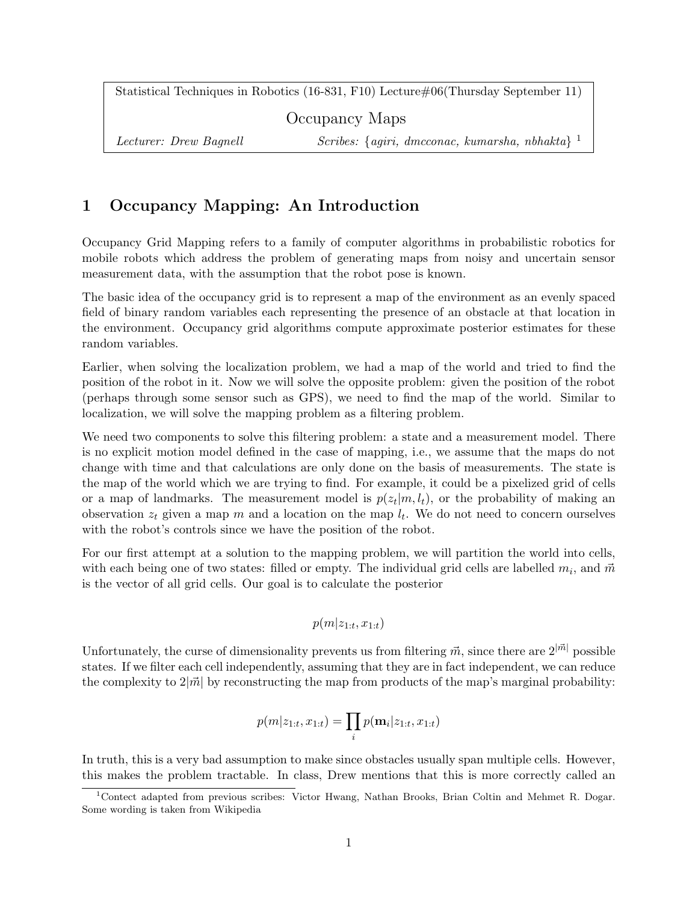Statistical Techniques in Robotics (16-831, F10) Lecture#06(Thursday September 11)

Occupancy Maps

Lecturer: Drew Bagnell Scribes: {agiri, dmcconac, kumarsha, nbhakta}<sup>1</sup>

# 1 Occupancy Mapping: An Introduction

Occupancy Grid Mapping refers to a family of computer algorithms in probabilistic robotics for mobile robots which address the problem of generating maps from noisy and uncertain sensor measurement data, with the assumption that the robot pose is known.

The basic idea of the occupancy grid is to represent a map of the environment as an evenly spaced field of binary random variables each representing the presence of an obstacle at that location in the environment. Occupancy grid algorithms compute approximate posterior estimates for these random variables.

Earlier, when solving the localization problem, we had a map of the world and tried to find the position of the robot in it. Now we will solve the opposite problem: given the position of the robot (perhaps through some sensor such as GPS), we need to find the map of the world. Similar to localization, we will solve the mapping problem as a filtering problem.

We need two components to solve this filtering problem: a state and a measurement model. There is no explicit motion model defined in the case of mapping, i.e., we assume that the maps do not change with time and that calculations are only done on the basis of measurements. The state is the map of the world which we are trying to find. For example, it could be a pixelized grid of cells or a map of landmarks. The measurement model is  $p(z_t|m, l_t)$ , or the probability of making an observation  $z_t$  given a map m and a location on the map  $l_t$ . We do not need to concern ourselves with the robot's controls since we have the position of the robot.

For our first attempt at a solution to the mapping problem, we will partition the world into cells, with each being one of two states: filled or empty. The individual grid cells are labelled  $m_i$ , and  $\vec{m}$ is the vector of all grid cells. Our goal is to calculate the posterior

$$
p(m|z_{1:t}, x_{1:t})
$$

Unfortunately, the curse of dimensionality prevents us from filtering  $\vec{m}$ , since there are  $2^{|\vec{m}|}$  possible states. If we filter each cell independently, assuming that they are in fact independent, we can reduce the complexity to  $2|\vec{m}|$  by reconstructing the map from products of the map's marginal probability:

$$
p(m|z_{1:t}, x_{1:t}) = \prod_i p(\mathbf{m}_i|z_{1:t}, x_{1:t})
$$

In truth, this is a very bad assumption to make since obstacles usually span multiple cells. However, this makes the problem tractable. In class, Drew mentions that this is more correctly called an

<sup>&</sup>lt;sup>1</sup>Contect adapted from previous scribes: Victor Hwang, Nathan Brooks, Brian Coltin and Mehmet R. Dogar. Some wording is taken from Wikipedia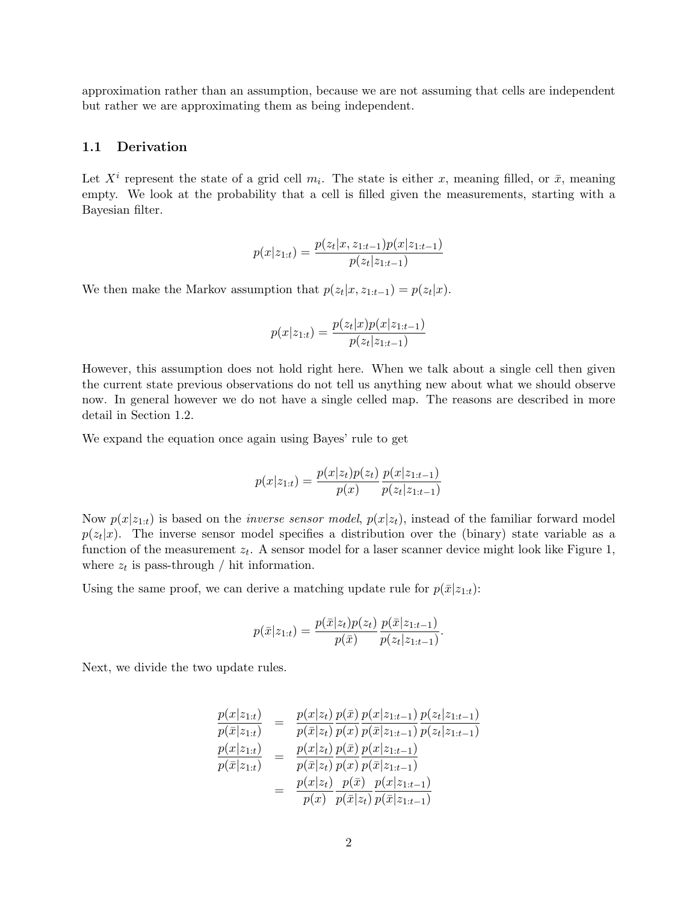approximation rather than an assumption, because we are not assuming that cells are independent but rather we are approximating them as being independent.

#### 1.1 Derivation

Let  $X^i$  represent the state of a grid cell  $m_i$ . The state is either x, meaning filled, or  $\bar{x}$ , meaning empty. We look at the probability that a cell is filled given the measurements, starting with a Bayesian filter.

$$
p(x|z_{1:t}) = \frac{p(z_t|x, z_{1:t-1})p(x|z_{1:t-1})}{p(z_t|z_{1:t-1})}
$$

We then make the Markov assumption that  $p(z_t|x, z_{1:t-1}) = p(z_t|x)$ .

$$
p(x|z_{1:t}) = \frac{p(z_t|x)p(x|z_{1:t-1})}{p(z_t|z_{1:t-1})}
$$

However, this assumption does not hold right here. When we talk about a single cell then given the current state previous observations do not tell us anything new about what we should observe now. In general however we do not have a single celled map. The reasons are described in more detail in Section 1.2.

We expand the equation once again using Bayes' rule to get

$$
p(x|z_{1:t}) = \frac{p(x|z_t)p(z_t)}{p(x)} \frac{p(x|z_{1:t-1})}{p(z_t|z_{1:t-1})}
$$

Now  $p(x|z_{1:t})$  is based on the *inverse sensor model*,  $p(x|z_t)$ , instead of the familiar forward model  $p(z_t|x)$ . The inverse sensor model specifies a distribution over the (binary) state variable as a function of the measurement  $z_t$ . A sensor model for a laser scanner device might look like Figure 1, where  $z_t$  is pass-through / hit information.

Using the same proof, we can derive a matching update rule for  $p(\bar{x}|z_{1:t})$ :

$$
p(\bar{x}|z_{1:t}) = \frac{p(\bar{x}|z_t)p(z_t)}{p(\bar{x})}\frac{p(\bar{x}|z_{1:t-1})}{p(z_t|z_{1:t-1})}.
$$

Next, we divide the two update rules.

$$
\frac{p(x|z_{1:t})}{p(\bar{x}|z_{1:t})} = \frac{p(x|z_t)}{p(\bar{x}|z_t)} \frac{p(\bar{x})}{p(x)} \frac{p(x|z_{1:t-1})}{p(\bar{x}|z_{1:t-1})} \frac{p(z_t|z_{1:t-1})}{p(z_t|z_{1:t-1})}
$$
\n
$$
\frac{p(x|z_{1:t})}{p(\bar{x}|z_{1:t})} = \frac{p(x|z_t)}{p(\bar{x}|z_t)} \frac{p(x)}{p(x)} \frac{p(x|z_{1:t-1})}{p(\bar{x}|z_{1:t-1})}
$$
\n
$$
= \frac{p(x|z_t)}{p(x)} \frac{p(\bar{x})}{p(\bar{x}|z_t)} \frac{p(x|z_{1:t-1})}{p(\bar{x}|z_{1:t-1})}
$$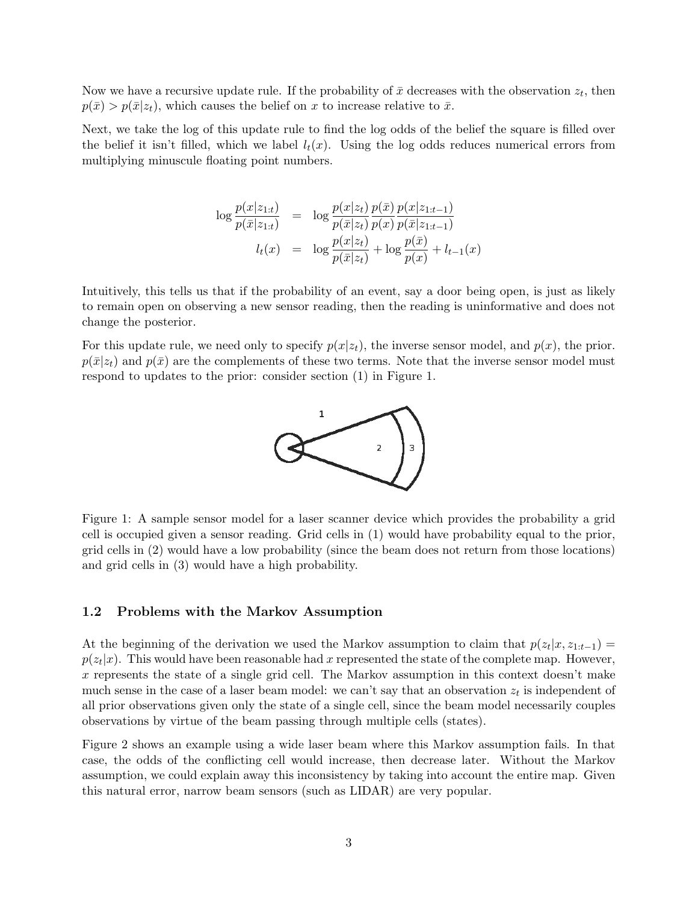Now we have a recursive update rule. If the probability of  $\bar{x}$  decreases with the observation  $z_t$ , then  $p(\bar{x}) > p(\bar{x}|z_t)$ , which causes the belief on x to increase relative to  $\bar{x}$ .

Next, we take the log of this update rule to find the log odds of the belief the square is filled over the belief it isn't filled, which we label  $l_t(x)$ . Using the log odds reduces numerical errors from multiplying minuscule floating point numbers.

$$
\log \frac{p(x|z_{1:t})}{p(\bar{x}|z_{1:t})} = \log \frac{p(x|z_t)}{p(\bar{x}|z_t)} \frac{p(\bar{x})}{p(x)} \frac{p(x|z_{1:t-1})}{p(\bar{x}|z_{1:t-1})}
$$

$$
l_t(x) = \log \frac{p(x|z_t)}{p(\bar{x}|z_t)} + \log \frac{p(\bar{x})}{p(x)} + l_{t-1}(x)
$$

Intuitively, this tells us that if the probability of an event, say a door being open, is just as likely to remain open on observing a new sensor reading, then the reading is uninformative and does not change the posterior.

For this update rule, we need only to specify  $p(x|z_t)$ , the inverse sensor model, and  $p(x)$ , the prior.  $p(\bar{x}|z_t)$  and  $p(\bar{x})$  are the complements of these two terms. Note that the inverse sensor model must respond to updates to the prior: consider section (1) in Figure 1.



Figure 1: A sample sensor model for a laser scanner device which provides the probability a grid cell is occupied given a sensor reading. Grid cells in (1) would have probability equal to the prior, grid cells in (2) would have a low probability (since the beam does not return from those locations) and grid cells in (3) would have a high probability.

#### 1.2 Problems with the Markov Assumption

At the beginning of the derivation we used the Markov assumption to claim that  $p(z_t|x, z_{1:t-1}) =$  $p(z_t|x)$ . This would have been reasonable had x represented the state of the complete map. However, x represents the state of a single grid cell. The Markov assumption in this context doesn't make much sense in the case of a laser beam model: we can't say that an observation  $z_t$  is independent of all prior observations given only the state of a single cell, since the beam model necessarily couples observations by virtue of the beam passing through multiple cells (states).

Figure 2 shows an example using a wide laser beam where this Markov assumption fails. In that case, the odds of the conflicting cell would increase, then decrease later. Without the Markov assumption, we could explain away this inconsistency by taking into account the entire map. Given this natural error, narrow beam sensors (such as LIDAR) are very popular.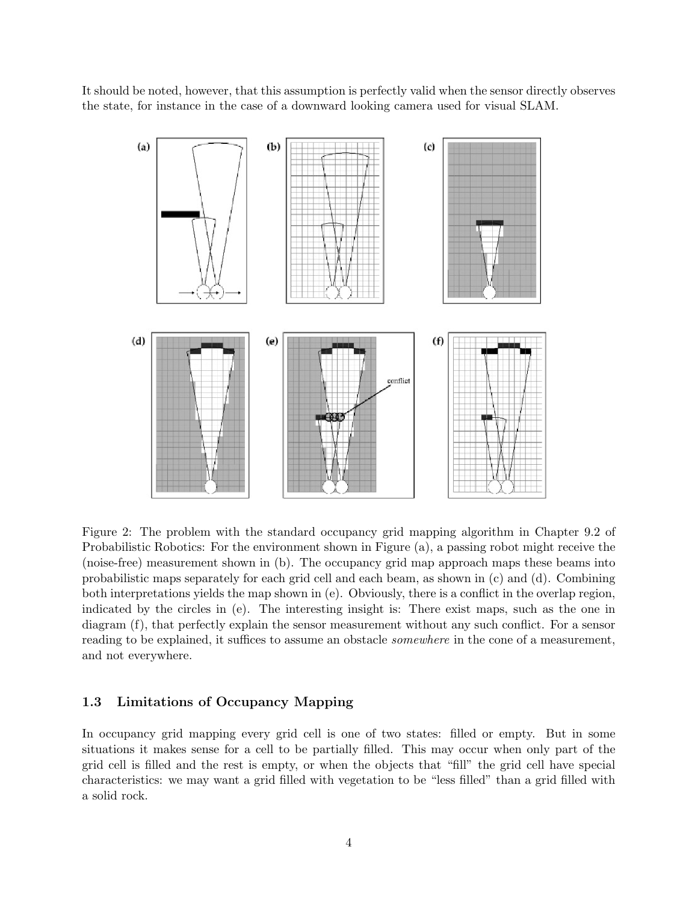It should be noted, however, that this assumption is perfectly valid when the sensor directly observes the state, for instance in the case of a downward looking camera used for visual SLAM.



Figure 2: The problem with the standard occupancy grid mapping algorithm in Chapter 9.2 of Probabilistic Robotics: For the environment shown in Figure (a), a passing robot might receive the (noise-free) measurement shown in (b). The occupancy grid map approach maps these beams into probabilistic maps separately for each grid cell and each beam, as shown in (c) and (d). Combining both interpretations yields the map shown in (e). Obviously, there is a conflict in the overlap region, indicated by the circles in (e). The interesting insight is: There exist maps, such as the one in diagram (f), that perfectly explain the sensor measurement without any such conflict. For a sensor reading to be explained, it suffices to assume an obstacle *somewhere* in the cone of a measurement, and not everywhere.

## 1.3 Limitations of Occupancy Mapping

In occupancy grid mapping every grid cell is one of two states: filled or empty. But in some situations it makes sense for a cell to be partially filled. This may occur when only part of the grid cell is filled and the rest is empty, or when the objects that "fill" the grid cell have special characteristics: we may want a grid filled with vegetation to be "less filled" than a grid filled with a solid rock.